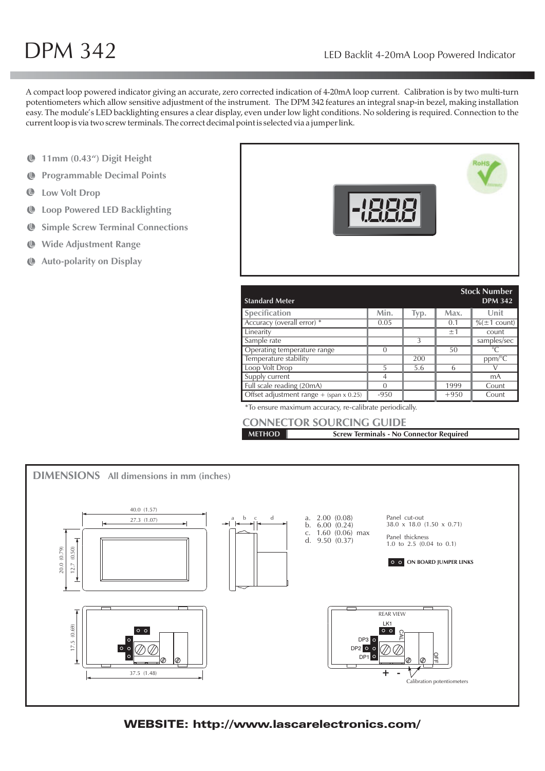A compact loop powered indicator giving an accurate, zero corrected indication of 4-20mA loop current. Calibration is by two multi-turn potentiometers which allow sensitive adjustment of the instrument. The DPM 342 features an integral snap-in bezel, making installation easy. The module's LED backlighting ensures a clear display, even under low light conditions. No soldering is required. Connection to the current loop is via two screw terminals. The correct decimal point is selected via a jumper link.

- **11mm (0.43") Digit Height**
- **Programmable Decimal Points**  $\mathbf{C}$
- ¢ **Low Volt Drop**
- **Loop Powered LED Backlighting**
- **Simple Screw Terminal Connections**  $\mathbf{r}$
- $\mathbf{C}$ **Wide Adjustment Range**
- **Auto-polarity on Display** ¢



| <b>Standard Meter</b>                     |                |      |        | <b>Stock Number</b><br><b>DPM 342</b> |
|-------------------------------------------|----------------|------|--------|---------------------------------------|
| Specification                             | Min.           | Typ. | Max.   | Unit                                  |
| Accuracy (overall error) *                | 0.05           |      | 0.1    | $\%(\pm 1 \text{ count})$             |
| Linearity                                 |                |      | ±1     | count                                 |
| Sample rate                               |                | 3    |        | samples/sec                           |
| Operating temperature range               | $\Omega$       |      | 50     | $\circ$ C                             |
| Temperature stability                     |                | 200  |        | $ppm/\sqrt{\text{C}}$                 |
| Loop Volt Drop                            | 5              | 5.6  | 6      |                                       |
| Supply current                            | $\overline{4}$ |      |        | mA                                    |
| Full scale reading (20mA)                 | $\Omega$       |      | 1999   | Count                                 |
| Offset adjustment range $+$ (span x 0.25) | $-950$         |      | $+950$ | Count                                 |

\*To ensure maximum accuracy, re-calibrate periodically.

|               | <b>CONNECTOR SOURCING GUIDE</b>                |
|---------------|------------------------------------------------|
| <b>METHOD</b> | <b>Screw Terminals - No Connector Required</b> |



# WEBSITE: http://www.lascarelectronics.com/